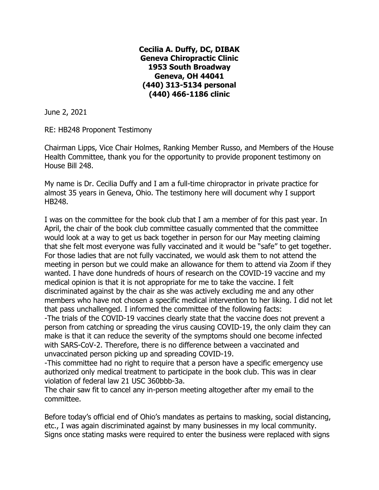**Cecilia A. Duffy, DC, DIBAK Geneva Chiropractic Clinic 1953 South Broadway Geneva, OH 44041 (440) 313-5134 personal (440) 466-1186 clinic**

June 2, 2021

RE: HB248 Proponent Testimony

Chairman Lipps, Vice Chair Holmes, Ranking Member Russo, and Members of the House Health Committee, thank you for the opportunity to provide proponent testimony on House Bill 248.

My name is Dr. Cecilia Duffy and I am a full-time chiropractor in private practice for almost 35 years in Geneva, Ohio. The testimony here will document why I support HB248.

I was on the committee for the book club that I am a member of for this past year. In April, the chair of the book club committee casually commented that the committee would look at a way to get us back together in person for our May meeting claiming that she felt most everyone was fully vaccinated and it would be "safe" to get together. For those ladies that are not fully vaccinated, we would ask them to not attend the meeting in person but we could make an allowance for them to attend via Zoom if they wanted. I have done hundreds of hours of research on the COVID-19 vaccine and my medical opinion is that it is not appropriate for me to take the vaccine. I felt discriminated against by the chair as she was actively excluding me and any other members who have not chosen a specific medical intervention to her liking. I did not let that pass unchallenged. I informed the committee of the following facts:

-The trials of the COVID-19 vaccines clearly state that the vaccine does not prevent a person from catching or spreading the virus causing COVID-19, the only claim they can make is that it can reduce the severity of the symptoms should one become infected with SARS-CoV-2. Therefore, there is no difference between a vaccinated and unvaccinated person picking up and spreading COVID-19.

-This committee had no right to require that a person have a specific emergency use authorized only medical treatment to participate in the book club. This was in clear violation of federal law 21 USC 360bbb-3a.

The chair saw fit to cancel any in-person meeting altogether after my email to the committee.

Before today's official end of Ohio's mandates as pertains to masking, social distancing, etc., I was again discriminated against by many businesses in my local community. Signs once stating masks were required to enter the business were replaced with signs